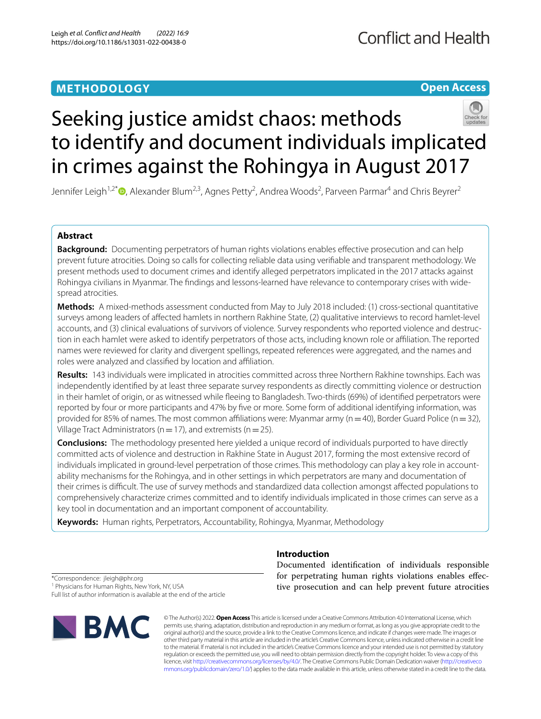## **METHODOLOGY**

**Open Access**

# Seeking justice amidst chaos: methods to identify and document individuals implicated in crimes against the Rohingya in August 2017

Jennifer Leigh<sup>1,2\*</sup>®[,](http://orcid.org/0000-0001-6319-4269) Alexander Blum<sup>2,3</sup>, Agnes Petty<sup>2</sup>, Andrea Woods<sup>2</sup>, Parveen Parmar<sup>4</sup> and Chris Beyrer<sup>2</sup>

## **Abstract**

**Background:** Documenting perpetrators of human rights violations enables effective prosecution and can help prevent future atrocities. Doing so calls for collecting reliable data using verifable and transparent methodology. We present methods used to document crimes and identify alleged perpetrators implicated in the 2017 attacks against Rohingya civilians in Myanmar. The fndings and lessons-learned have relevance to contemporary crises with widespread atrocities.

**Methods:** A mixed-methods assessment conducted from May to July 2018 included: (1) cross-sectional quantitative surveys among leaders of afected hamlets in northern Rakhine State, (2) qualitative interviews to record hamlet-level accounts, and (3) clinical evaluations of survivors of violence. Survey respondents who reported violence and destruction in each hamlet were asked to identify perpetrators of those acts, including known role or afliation. The reported names were reviewed for clarity and divergent spellings, repeated references were aggregated, and the names and roles were analyzed and classifed by location and afliation.

**Results:** 143 individuals were implicated in atrocities committed across three Northern Rakhine townships. Each was independently identifed by at least three separate survey respondents as directly committing violence or destruction in their hamlet of origin, or as witnessed while feeing to Bangladesh. Two-thirds (69%) of identifed perpetrators were reported by four or more participants and 47% by fve or more. Some form of additional identifying information, was provided for 85% of names. The most common affiliations were: Myanmar army (n = 40), Border Guard Police (n = 32), Village Tract Administrators ( $n=17$ ), and extremists ( $n=25$ ).

**Conclusions:** The methodology presented here yielded a unique record of individuals purported to have directly committed acts of violence and destruction in Rakhine State in August 2017, forming the most extensive record of individuals implicated in ground-level perpetration of those crimes. This methodology can play a key role in accountability mechanisms for the Rohingya, and in other settings in which perpetrators are many and documentation of their crimes is difcult. The use of survey methods and standardized data collection amongst afected populations to comprehensively characterize crimes committed and to identify individuals implicated in those crimes can serve as a key tool in documentation and an important component of accountability.

**Keywords:** Human rights, Perpetrators, Accountability, Rohingya, Myanmar, Methodology

**Introduction**

\*Correspondence: jleigh@phr.org

<sup>1</sup> Physicians for Human Rights, New York, NY, USA

Full list of author information is available at the end of the article



Documented identifcation of individuals responsible for perpetrating human rights violations enables efective prosecution and can help prevent future atrocities

© The Author(s) 2022. **Open Access** This article is licensed under a Creative Commons Attribution 4.0 International License, which permits use, sharing, adaptation, distribution and reproduction in any medium or format, as long as you give appropriate credit to the original author(s) and the source, provide a link to the Creative Commons licence, and indicate if changes were made. The images or other third party material in this article are included in the article's Creative Commons licence, unless indicated otherwise in a credit line to the material. If material is not included in the article's Creative Commons licence and your intended use is not permitted by statutory regulation or exceeds the permitted use, you will need to obtain permission directly from the copyright holder. To view a copy of this licence, visit [http://creativecommons.org/licenses/by/4.0/.](http://creativecommons.org/licenses/by/4.0/) The Creative Commons Public Domain Dedication waiver ([http://creativeco](http://creativecommons.org/publicdomain/zero/1.0/) [mmons.org/publicdomain/zero/1.0/](http://creativecommons.org/publicdomain/zero/1.0/)) applies to the data made available in this article, unless otherwise stated in a credit line to the data.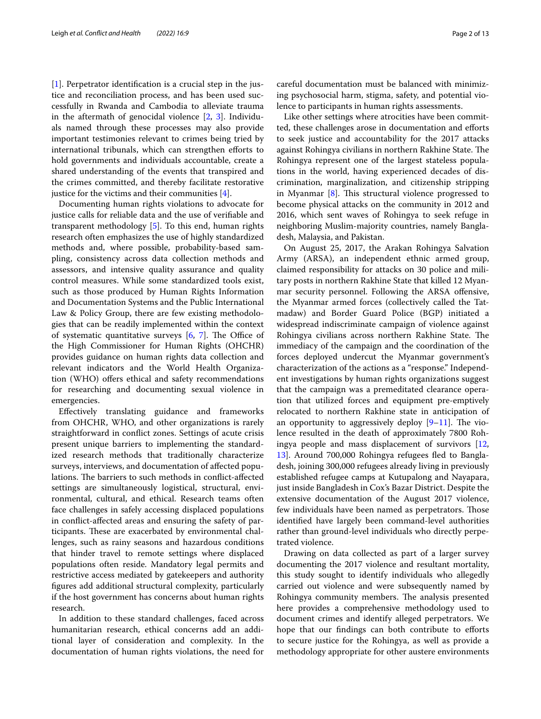[[1\]](#page-11-0). Perpetrator identifcation is a crucial step in the justice and reconciliation process, and has been used successfully in Rwanda and Cambodia to alleviate trauma in the aftermath of genocidal violence  $[2, 3]$  $[2, 3]$  $[2, 3]$  $[2, 3]$ . Individuals named through these processes may also provide important testimonies relevant to crimes being tried by international tribunals, which can strengthen efforts to hold governments and individuals accountable, create a shared understanding of the events that transpired and the crimes committed, and thereby facilitate restorative justice for the victims and their communities  $[4]$  $[4]$ .

Documenting human rights violations to advocate for justice calls for reliable data and the use of verifable and transparent methodology [[5\]](#page-11-4). To this end, human rights research often emphasizes the use of highly standardized methods and, where possible, probability-based sampling, consistency across data collection methods and assessors, and intensive quality assurance and quality control measures. While some standardized tools exist, such as those produced by Human Rights Information and Documentation Systems and the Public International Law & Policy Group, there are few existing methodologies that can be readily implemented within the context of systematic quantitative surveys  $[6, 7]$  $[6, 7]$  $[6, 7]$  $[6, 7]$  $[6, 7]$ . The Office of the High Commissioner for Human Rights (OHCHR) provides guidance on human rights data collection and relevant indicators and the World Health Organization (WHO) offers ethical and safety recommendations for researching and documenting sexual violence in emergencies.

Efectively translating guidance and frameworks from OHCHR, WHO, and other organizations is rarely straightforward in confict zones. Settings of acute crisis present unique barriers to implementing the standardized research methods that traditionally characterize surveys, interviews, and documentation of afected populations. The barriers to such methods in conflict-affected settings are simultaneously logistical, structural, environmental, cultural, and ethical. Research teams often face challenges in safely accessing displaced populations in confict-afected areas and ensuring the safety of participants. These are exacerbated by environmental challenges, such as rainy seasons and hazardous conditions that hinder travel to remote settings where displaced populations often reside. Mandatory legal permits and restrictive access mediated by gatekeepers and authority fgures add additional structural complexity, particularly if the host government has concerns about human rights research.

In addition to these standard challenges, faced across humanitarian research, ethical concerns add an additional layer of consideration and complexity. In the documentation of human rights violations, the need for careful documentation must be balanced with minimizing psychosocial harm, stigma, safety, and potential violence to participants in human rights assessments.

Like other settings where atrocities have been committed, these challenges arose in documentation and eforts to seek justice and accountability for the 2017 attacks against Rohingya civilians in northern Rakhine State. The Rohingya represent one of the largest stateless populations in the world, having experienced decades of discrimination, marginalization, and citizenship stripping in Myanmar  $[8]$  $[8]$ . This structural violence progressed to become physical attacks on the community in 2012 and 2016, which sent waves of Rohingya to seek refuge in neighboring Muslim-majority countries, namely Bangladesh, Malaysia, and Pakistan.

On August 25, 2017, the Arakan Rohingya Salvation Army (ARSA), an independent ethnic armed group, claimed responsibility for attacks on 30 police and military posts in northern Rakhine State that killed 12 Myanmar security personnel. Following the ARSA ofensive, the Myanmar armed forces (collectively called the Tatmadaw) and Border Guard Police (BGP) initiated a widespread indiscriminate campaign of violence against Rohingya civilians across northern Rakhine State. The immediacy of the campaign and the coordination of the forces deployed undercut the Myanmar government's characterization of the actions as a "response." Independent investigations by human rights organizations suggest that the campaign was a premeditated clearance operation that utilized forces and equipment pre-emptively relocated to northern Rakhine state in anticipation of an opportunity to aggressively deploy  $[9-11]$  $[9-11]$ . The violence resulted in the death of approximately 7800 Rohingya people and mass displacement of survivors [[12](#page-11-10), [13\]](#page-11-11). Around 700,000 Rohingya refugees fed to Bangladesh, joining 300,000 refugees already living in previously established refugee camps at Kutupalong and Nayapara, just inside Bangladesh in Cox's Bazar District. Despite the extensive documentation of the August 2017 violence, few individuals have been named as perpetrators. Those identifed have largely been command-level authorities rather than ground-level individuals who directly perpetrated violence.

Drawing on data collected as part of a larger survey documenting the 2017 violence and resultant mortality, this study sought to identify individuals who allegedly carried out violence and were subsequently named by Rohingya community members. The analysis presented here provides a comprehensive methodology used to document crimes and identify alleged perpetrators. We hope that our findings can both contribute to efforts to secure justice for the Rohingya, as well as provide a methodology appropriate for other austere environments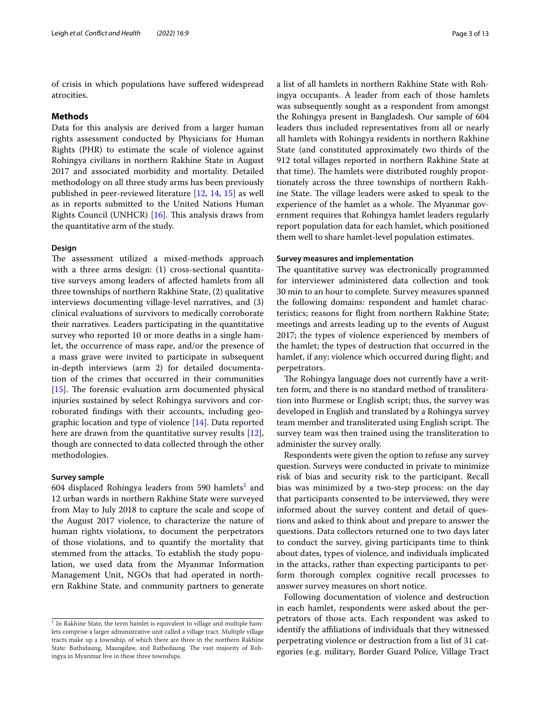of crisis in which populations have sufered widespread atrocities.

#### **Methods**

Data for this analysis are derived from a larger human rights assessment conducted by Physicians for Human Rights (PHR) to estimate the scale of violence against Rohingya civilians in northern Rakhine State in August 2017 and associated morbidity and mortality. Detailed methodology on all three study arms has been previously published in peer-reviewed literature [\[12](#page-11-10), [14](#page-11-12), [15](#page-11-13)] as well as in reports submitted to the United Nations Human Rights Council (UNHCR)  $[16]$  $[16]$ . This analysis draws from the quantitative arm of the study.

#### **Design**

The assessment utilized a mixed-methods approach with a three arms design: (1) cross-sectional quantitative surveys among leaders of afected hamlets from all three townships of northern Rakhine State, (2) qualitative interviews documenting village-level narratives, and (3) clinical evaluations of survivors to medically corroborate their narratives. Leaders participating in the quantitative survey who reported 10 or more deaths in a single hamlet, the occurrence of mass rape, and/or the presence of a mass grave were invited to participate in subsequent in-depth interviews (arm 2) for detailed documentation of the crimes that occurred in their communities  $[15]$  $[15]$ . The forensic evaluation arm documented physical injuries sustained by select Rohingya survivors and corroborated fndings with their accounts, including geographic location and type of violence [[14\]](#page-11-12). Data reported here are drawn from the quantitative survey results [\[12](#page-11-10)], though are connected to data collected through the other methodologies.

#### **Survey sample**

604 displaced Rohingya leaders from 590 hamlets $^{\rm l}$  and 12 urban wards in northern Rakhine State were surveyed from May to July 2018 to capture the scale and scope of the August 2017 violence, to characterize the nature of human rights violations, to document the perpetrators of those violations, and to quantify the mortality that stemmed from the attacks. To establish the study population, we used data from the Myanmar Information Management Unit, NGOs that had operated in northern Rakhine State, and community partners to generate

a list of all hamlets in northern Rakhine State with Rohingya occupants. A leader from each of those hamlets was subsequently sought as a respondent from amongst the Rohingya present in Bangladesh. Our sample of 604 leaders thus included representatives from all or nearly all hamlets with Rohingya residents in northern Rakhine State (and constituted approximately two thirds of the 912 total villages reported in northern Rakhine State at that time). The hamlets were distributed roughly proportionately across the three townships of northern Rakhine State. The village leaders were asked to speak to the experience of the hamlet as a whole. The Myanmar government requires that Rohingya hamlet leaders regularly report population data for each hamlet, which positioned them well to share hamlet-level population estimates.

#### **Survey measures and implementation**

The quantitative survey was electronically programmed for interviewer administered data collection and took 30 min to an hour to complete. Survey measures spanned the following domains: respondent and hamlet characteristics; reasons for fight from northern Rakhine State; meetings and arrests leading up to the events of August 2017; the types of violence experienced by members of the hamlet; the types of destruction that occurred in the hamlet, if any; violence which occurred during fight; and perpetrators.

The Rohingya language does not currently have a written form, and there is no standard method of transliteration into Burmese or English script; thus, the survey was developed in English and translated by a Rohingya survey team member and transliterated using English script. The survey team was then trained using the transliteration to administer the survey orally.

Respondents were given the option to refuse any survey question. Surveys were conducted in private to minimize risk of bias and security risk to the participant. Recall bias was minimized by a two-step process: on the day that participants consented to be interviewed, they were informed about the survey content and detail of questions and asked to think about and prepare to answer the questions. Data collectors returned one to two days later to conduct the survey, giving participants time to think about dates, types of violence, and individuals implicated in the attacks, rather than expecting participants to perform thorough complex cognitive recall processes to answer survey measures on short notice.

Following documentation of violence and destruction in each hamlet, respondents were asked about the perpetrators of those acts. Each respondent was asked to identify the affiliations of individuals that they witnessed perpetrating violence or destruction from a list of 31 categories (e.g. military, Border Guard Police, Village Tract

<span id="page-2-0"></span> $1$  In Rakhine State, the term hamlet is equivalent to village and multiple hamlets comprise a larger administrative unit called a village tract. Multiple village tracts make up a township, of which there are three in the northern Rakhine State: Buthidaung, Maungdaw, and Rathedaung. The vast majority of Rohingya in Myanmar live in these three townships.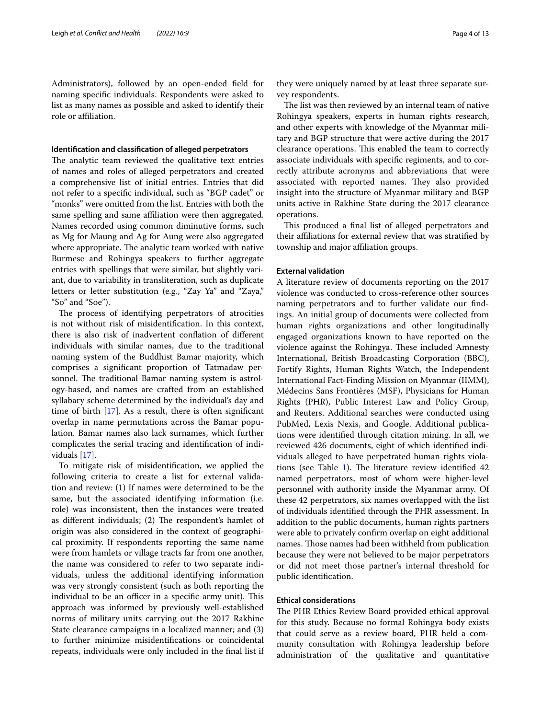Administrators), followed by an open-ended feld for naming specifc individuals. Respondents were asked to list as many names as possible and asked to identify their role or affiliation.

#### **Identifcation and classifcation of alleged perpetrators**

The analytic team reviewed the qualitative text entries of names and roles of alleged perpetrators and created a comprehensive list of initial entries. Entries that did not refer to a specifc individual, such as "BGP cadet" or "monks" were omitted from the list. Entries with both the same spelling and same afliation were then aggregated. Names recorded using common diminutive forms, such as Mg for Maung and Ag for Aung were also aggregated where appropriate. The analytic team worked with native Burmese and Rohingya speakers to further aggregate entries with spellings that were similar, but slightly variant, due to variability in transliteration, such as duplicate letters or letter substitution (e.g., "Zay Ya" and "Zaya," "So" and "Soe").

The process of identifying perpetrators of atrocities is not without risk of misidentifcation. In this context, there is also risk of inadvertent confation of diferent individuals with similar names, due to the traditional naming system of the Buddhist Bamar majority, which comprises a signifcant proportion of Tatmadaw personnel. The traditional Bamar naming system is astrology-based, and names are crafted from an established syllabary scheme determined by the individual's day and time of birth [[17\]](#page-11-15). As a result, there is often signifcant overlap in name permutations across the Bamar population. Bamar names also lack surnames, which further complicates the serial tracing and identifcation of individuals [[17\]](#page-11-15).

To mitigate risk of misidentifcation, we applied the following criteria to create a list for external validation and review: (1) If names were determined to be the same, but the associated identifying information (i.e. role) was inconsistent, then the instances were treated as different individuals; (2) The respondent's hamlet of origin was also considered in the context of geographical proximity. If respondents reporting the same name were from hamlets or village tracts far from one another, the name was considered to refer to two separate individuals, unless the additional identifying information was very strongly consistent (such as both reporting the individual to be an officer in a specific army unit). This approach was informed by previously well-established norms of military units carrying out the 2017 Rakhine State clearance campaigns in a localized manner; and (3) to further minimize misidentifcations or coincidental repeats, individuals were only included in the fnal list if

they were uniquely named by at least three separate survey respondents.

The list was then reviewed by an internal team of native Rohingya speakers, experts in human rights research, and other experts with knowledge of the Myanmar military and BGP structure that were active during the 2017 clearance operations. This enabled the team to correctly associate individuals with specifc regiments, and to correctly attribute acronyms and abbreviations that were associated with reported names. They also provided insight into the structure of Myanmar military and BGP units active in Rakhine State during the 2017 clearance operations.

This produced a final list of alleged perpetrators and their afliations for external review that was stratifed by township and major afliation groups.

### **External validation**

A literature review of documents reporting on the 2017 violence was conducted to cross-reference other sources naming perpetrators and to further validate our fndings. An initial group of documents were collected from human rights organizations and other longitudinally engaged organizations known to have reported on the violence against the Rohingya. These included Amnesty International, British Broadcasting Corporation (BBC), Fortify Rights, Human Rights Watch, the Independent International Fact-Finding Mission on Myanmar (IIMM), Médecins Sans Frontières (MSF), Physicians for Human Rights (PHR), Public Interest Law and Policy Group, and Reuters. Additional searches were conducted using PubMed, Lexis Nexis, and Google. Additional publications were identifed through citation mining. In all, we reviewed 426 documents, eight of which identifed individuals alleged to have perpetrated human rights viola-tions (see Table [1\)](#page-4-0). The literature review identified  $42$ named perpetrators, most of whom were higher-level personnel with authority inside the Myanmar army. Of these 42 perpetrators, six names overlapped with the list of individuals identifed through the PHR assessment. In addition to the public documents, human rights partners were able to privately confrm overlap on eight additional names. Those names had been withheld from publication because they were not believed to be major perpetrators or did not meet those partner's internal threshold for public identifcation.

## **Ethical considerations**

The PHR Ethics Review Board provided ethical approval for this study. Because no formal Rohingya body exists that could serve as a review board, PHR held a community consultation with Rohingya leadership before administration of the qualitative and quantitative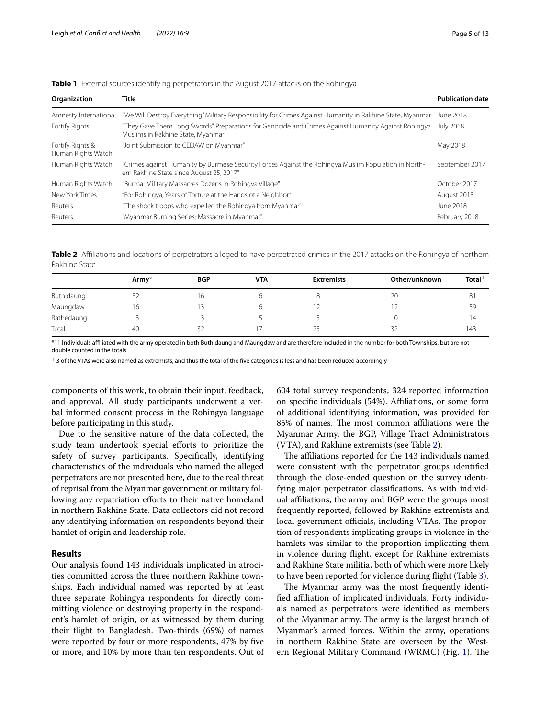| Organization                           | <b>Title</b>                                                                                                                                     | <b>Publication date</b> |
|----------------------------------------|--------------------------------------------------------------------------------------------------------------------------------------------------|-------------------------|
| Amnesty International                  | "We Will Destroy Everything" Military Responsibility for Crimes Against Humanity in Rakhine State, Myanmar                                       | June 2018               |
| Fortify Rights                         | "They Gave Them Long Swords" Preparations for Genocide and Crimes Against Humanity Against Rohingya<br>Muslims in Rakhine State, Myanmar         | <b>July 2018</b>        |
| Fortify Rights &<br>Human Rights Watch | "Joint Submission to CEDAW on Myanmar"                                                                                                           | May 2018                |
| Human Rights Watch                     | "Crimes against Humanity by Burmese Security Forces Against the Rohingya Muslim Population in North-<br>ern Rakhine State since August 25, 2017" | September 2017          |
| Human Rights Watch                     | "Burma: Military Massacres Dozens in Rohingya Village"                                                                                           | October 2017            |
| New York Times                         | "For Rohingya, Years of Torture at the Hands of a Neighbor"                                                                                      | August 2018             |
| Reuters                                | "The shock troops who expelled the Rohingya from Myanmar"                                                                                        | June 2018               |
| Reuters                                | "Myanmar Burning Series: Massacre in Myanmar"                                                                                                    | February 2018           |

<span id="page-4-0"></span>

|  |  |  |  |  |  | Table 1 External sources identifying perpetrators in the August 2017 attacks on the Rohingya |
|--|--|--|--|--|--|----------------------------------------------------------------------------------------------|
|--|--|--|--|--|--|----------------------------------------------------------------------------------------------|

<span id="page-4-1"></span>**Table 2** Affiliations and locations of perpetrators alleged to have perpetrated crimes in the 2017 attacks on the Rohingya of northern Rakhine State

|            | Army* | <b>BGP</b> | <b>VTA</b> | <b>Extremists</b> | Other/unknown | $Total+$ |
|------------|-------|------------|------------|-------------------|---------------|----------|
| Buthidaung | 32    | 16         |            |                   | 20            | 81       |
| Maungdaw   | 16    |            |            | 1 Z               |               | 59       |
| Rathedaung |       |            |            |                   |               | 14       |
| Total      | 40    | 32         |            | 25                | 32            | 143      |

\*11 Individuals afliated with the army operated in both Buthidaung and Maungdaw and are therefore included in the number for both Townships, but are not double counted in the totals

 $+$  3 of the VTAs were also named as extremists, and thus the total of the five categories is less and has been reduced accordingly

components of this work, to obtain their input, feedback, and approval. All study participants underwent a verbal informed consent process in the Rohingya language before participating in this study.

Due to the sensitive nature of the data collected, the study team undertook special efforts to prioritize the safety of survey participants. Specifcally, identifying characteristics of the individuals who named the alleged perpetrators are not presented here, due to the real threat of reprisal from the Myanmar government or military following any repatriation efforts to their native homeland in northern Rakhine State. Data collectors did not record any identifying information on respondents beyond their hamlet of origin and leadership role.

## **Results**

Our analysis found 143 individuals implicated in atrocities committed across the three northern Rakhine townships. Each individual named was reported by at least three separate Rohingya respondents for directly committing violence or destroying property in the respondent's hamlet of origin, or as witnessed by them during their fight to Bangladesh. Two-thirds (69%) of names were reported by four or more respondents, 47% by fve or more, and 10% by more than ten respondents. Out of 604 total survey respondents, 324 reported information on specifc individuals (54%). Afliations, or some form of additional identifying information, was provided for 85% of names. The most common affiliations were the Myanmar Army, the BGP, Village Tract Administrators (VTA), and Rakhine extremists (see Table [2\)](#page-4-1).

The affiliations reported for the 143 individuals named were consistent with the perpetrator groups identifed through the close-ended question on the survey identifying major perpetrator classifcations. As with individual affiliations, the army and BGP were the groups most frequently reported, followed by Rakhine extremists and local government officials, including VTAs. The proportion of respondents implicating groups in violence in the hamlets was similar to the proportion implicating them in violence during fight, except for Rakhine extremists and Rakhine State militia, both of which were more likely to have been reported for violence during fight (Table [3\)](#page-5-0).

The Myanmar army was the most frequently identifed afliation of implicated individuals. Forty individuals named as perpetrators were identifed as members of the Myanmar army. The army is the largest branch of Myanmar's armed forces. Within the army, operations in northern Rakhine State are overseen by the West-ern Regional Military Command (WRMC) (Fig. [1](#page-5-1)). The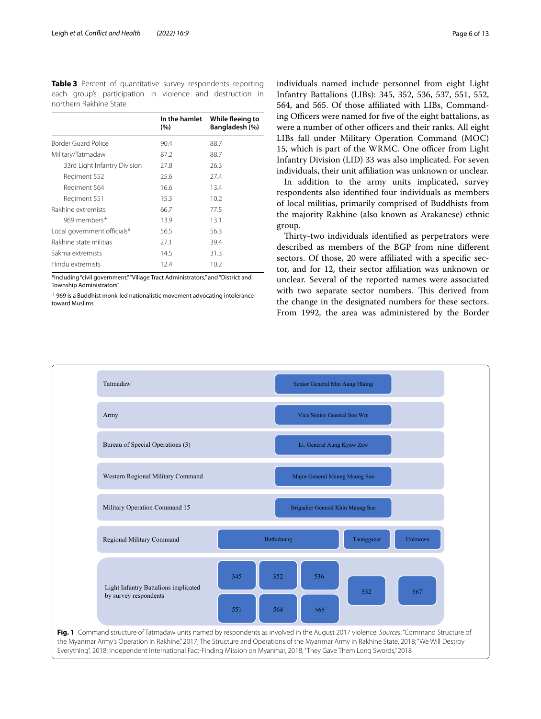<span id="page-5-0"></span>**Table 3** Percent of quantitative survey respondents reporting each group's participation in violence and destruction in northern Rakhine State

|                              | In the hamlet<br>(%) | While fleeing to<br>Bangladesh (%) |
|------------------------------|----------------------|------------------------------------|
| Border Guard Police          | 90.4                 | 88.7                               |
| Military/Tatmadaw            | 87.2                 | 88.7                               |
| 33rd Light Infantry Division | 27.8                 | 26.3                               |
| Regiment 552                 | 25.6                 | 27.4                               |
| Regiment 564                 | 16.6                 | 13.4                               |
| Regiment 551                 | 15.3                 | 10.2 <sup>5</sup>                  |
| Rakhine extremists           | 66.7                 | 77.5                               |
| 969 members <sup>+</sup>     | 13.9                 | 13.1                               |
| Local government officials*  | 56.5                 | 56.3                               |
| Rakhine state militias       | 27.1                 | 39.4                               |
| Sakma extremists             | 14.5                 | 31.3                               |
| Hindu extremists             | 12.4                 | 10.2                               |

\*Including "civil government," "Village Tract Administrators," and "District and Township Administrators"

 $^+$  969 is a Buddhist monk-led nationalistic movement advocating intolerance toward Muslims

individuals named include personnel from eight Light Infantry Battalions (LIBs): 345, 352, 536, 537, 551, 552, 564, and 565. Of those afliated with LIBs, Commanding Officers were named for five of the eight battalions, as were a number of other officers and their ranks. All eight LIBs fall under Military Operation Command (MOC) 15, which is part of the WRMC. One officer from Light Infantry Division (LID) 33 was also implicated. For seven individuals, their unit affiliation was unknown or unclear.

In addition to the army units implicated, survey respondents also identifed four individuals as members of local militias, primarily comprised of Buddhists from the majority Rakhine (also known as Arakanese) ethnic group.

Thirty-two individuals identified as perpetrators were described as members of the BGP from nine diferent sectors. Of those, 20 were affiliated with a specific sector, and for 12, their sector afliation was unknown or unclear. Several of the reported names were associated with two separate sector numbers. This derived from the change in the designated numbers for these sectors. From 1992, the area was administered by the Border

<span id="page-5-1"></span>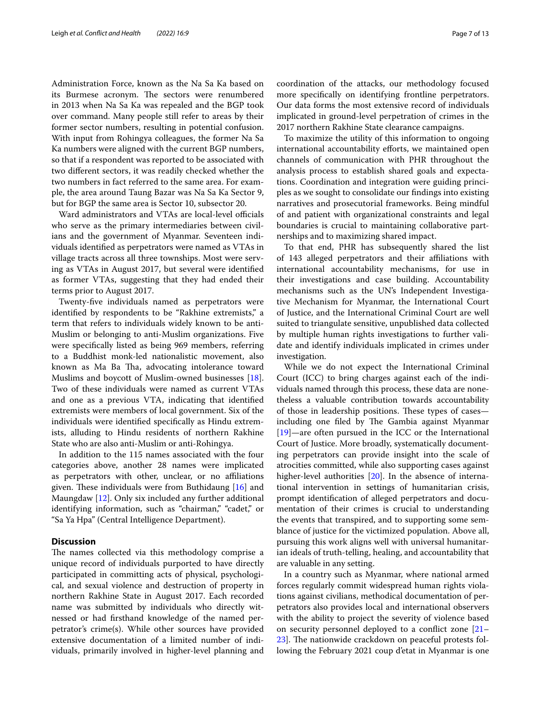Administration Force, known as the Na Sa Ka based on its Burmese acronym. The sectors were renumbered in 2013 when Na Sa Ka was repealed and the BGP took over command. Many people still refer to areas by their former sector numbers, resulting in potential confusion. With input from Rohingya colleagues, the former Na Sa Ka numbers were aligned with the current BGP numbers, so that if a respondent was reported to be associated with two diferent sectors, it was readily checked whether the two numbers in fact referred to the same area. For example, the area around Taung Bazar was Na Sa Ka Sector 9, but for BGP the same area is Sector 10, subsector 20.

Ward administrators and VTAs are local-level officials who serve as the primary intermediaries between civilians and the government of Myanmar. Seventeen individuals identifed as perpetrators were named as VTAs in village tracts across all three townships. Most were serving as VTAs in August 2017, but several were identifed as former VTAs, suggesting that they had ended their terms prior to August 2017.

Twenty-fve individuals named as perpetrators were identifed by respondents to be "Rakhine extremists," a term that refers to individuals widely known to be anti-Muslim or belonging to anti-Muslim organizations. Five were specifcally listed as being 969 members, referring to a Buddhist monk-led nationalistic movement, also known as Ma Ba Tha, advocating intolerance toward Muslims and boycott of Muslim-owned businesses [\[18](#page-11-16)]. Two of these individuals were named as current VTAs and one as a previous VTA, indicating that identifed extremists were members of local government. Six of the individuals were identifed specifcally as Hindu extremists, alluding to Hindu residents of northern Rakhine State who are also anti-Muslim or anti-Rohingya.

In addition to the 115 names associated with the four categories above, another 28 names were implicated as perpetrators with other, unclear, or no afliations given. These individuals were from Buthidaung  $[16]$  and Maungdaw [\[12\]](#page-11-10). Only six included any further additional identifying information, such as "chairman," "cadet," or "Sa Ya Hpa" (Central Intelligence Department).

## **Discussion**

The names collected via this methodology comprise a unique record of individuals purported to have directly participated in committing acts of physical, psychological, and sexual violence and destruction of property in northern Rakhine State in August 2017. Each recorded name was submitted by individuals who directly witnessed or had frsthand knowledge of the named perpetrator's crime(s). While other sources have provided extensive documentation of a limited number of individuals, primarily involved in higher-level planning and coordination of the attacks, our methodology focused more specifcally on identifying frontline perpetrators. Our data forms the most extensive record of individuals implicated in ground-level perpetration of crimes in the 2017 northern Rakhine State clearance campaigns.

To maximize the utility of this information to ongoing international accountability efforts, we maintained open channels of communication with PHR throughout the analysis process to establish shared goals and expectations. Coordination and integration were guiding principles as we sought to consolidate our fndings into existing narratives and prosecutorial frameworks. Being mindful of and patient with organizational constraints and legal boundaries is crucial to maintaining collaborative partnerships and to maximizing shared impact.

To that end, PHR has subsequently shared the list of 143 alleged perpetrators and their afliations with international accountability mechanisms, for use in their investigations and case building. Accountability mechanisms such as the UN's Independent Investigative Mechanism for Myanmar, the International Court of Justice, and the International Criminal Court are well suited to triangulate sensitive, unpublished data collected by multiple human rights investigations to further validate and identify individuals implicated in crimes under investigation.

While we do not expect the International Criminal Court (ICC) to bring charges against each of the individuals named through this process, these data are nonetheless a valuable contribution towards accountability of those in leadership positions. These types of casesincluding one filed by The Gambia against Myanmar [[19\]](#page-11-17)—are often pursued in the ICC or the International Court of Justice. More broadly, systematically documenting perpetrators can provide insight into the scale of atrocities committed, while also supporting cases against higher-level authorities [\[20](#page-11-18)]. In the absence of international intervention in settings of humanitarian crisis, prompt identifcation of alleged perpetrators and documentation of their crimes is crucial to understanding the events that transpired, and to supporting some semblance of justice for the victimized population. Above all, pursuing this work aligns well with universal humanitarian ideals of truth-telling, healing, and accountability that are valuable in any setting.

In a country such as Myanmar, where national armed forces regularly commit widespread human rights violations against civilians, methodical documentation of perpetrators also provides local and international observers with the ability to project the severity of violence based on security personnel deployed to a confict zone [[21–](#page-11-19) [23\]](#page-11-20). The nationwide crackdown on peaceful protests following the February 2021 coup d'etat in Myanmar is one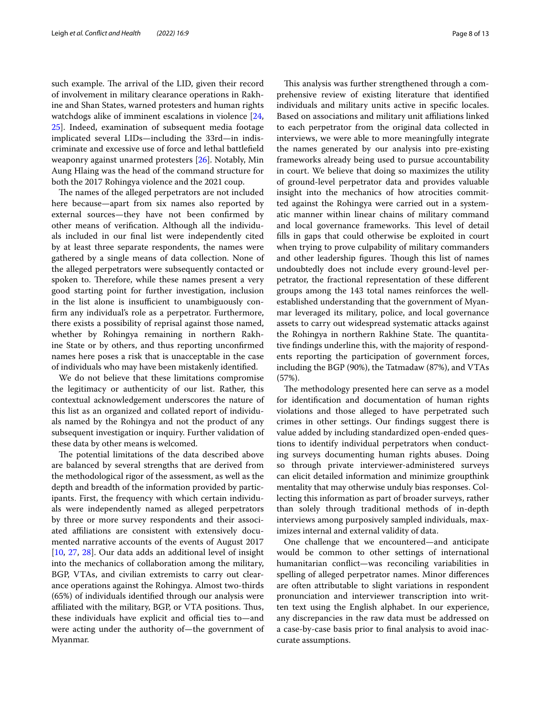such example. The arrival of the LID, given their record of involvement in military clearance operations in Rakhine and Shan States, warned protesters and human rights watchdogs alike of imminent escalations in violence [\[24](#page-11-21), [25\]](#page-11-22). Indeed, examination of subsequent media footage implicated several LIDs—including the 33rd—in indiscriminate and excessive use of force and lethal battlefeld weaponry against unarmed protesters [\[26](#page-12-0)]. Notably, Min Aung Hlaing was the head of the command structure for both the 2017 Rohingya violence and the 2021 coup.

The names of the alleged perpetrators are not included here because—apart from six names also reported by external sources—they have not been confrmed by other means of verifcation. Although all the individuals included in our fnal list were independently cited by at least three separate respondents, the names were gathered by a single means of data collection. None of the alleged perpetrators were subsequently contacted or spoken to. Therefore, while these names present a very good starting point for further investigation, inclusion in the list alone is insufficient to unambiguously confrm any individual's role as a perpetrator. Furthermore, there exists a possibility of reprisal against those named, whether by Rohingya remaining in northern Rakhine State or by others, and thus reporting unconfrmed names here poses a risk that is unacceptable in the case of individuals who may have been mistakenly identifed.

We do not believe that these limitations compromise the legitimacy or authenticity of our list. Rather, this contextual acknowledgement underscores the nature of this list as an organized and collated report of individuals named by the Rohingya and not the product of any subsequent investigation or inquiry. Further validation of these data by other means is welcomed.

The potential limitations of the data described above are balanced by several strengths that are derived from the methodological rigor of the assessment, as well as the depth and breadth of the information provided by participants. First, the frequency with which certain individuals were independently named as alleged perpetrators by three or more survey respondents and their associated afliations are consistent with extensively documented narrative accounts of the events of August 2017 [[10,](#page-11-23) [27](#page-12-1), [28](#page-12-2)]. Our data adds an additional level of insight into the mechanics of collaboration among the military, BGP, VTAs, and civilian extremists to carry out clearance operations against the Rohingya. Almost two-thirds (65%) of individuals identifed through our analysis were affiliated with the military, BGP, or VTA positions. Thus, these individuals have explicit and official ties to—and were acting under the authority of—the government of Myanmar.

This analysis was further strengthened through a comprehensive review of existing literature that identifed individuals and military units active in specifc locales. Based on associations and military unit afliations linked to each perpetrator from the original data collected in interviews, we were able to more meaningfully integrate the names generated by our analysis into pre-existing frameworks already being used to pursue accountability in court. We believe that doing so maximizes the utility of ground-level perpetrator data and provides valuable insight into the mechanics of how atrocities committed against the Rohingya were carried out in a systematic manner within linear chains of military command and local governance frameworks. This level of detail flls in gaps that could otherwise be exploited in court when trying to prove culpability of military commanders and other leadership figures. Though this list of names undoubtedly does not include every ground-level perpetrator, the fractional representation of these diferent groups among the 143 total names reinforces the wellestablished understanding that the government of Myanmar leveraged its military, police, and local governance assets to carry out widespread systematic attacks against the Rohingya in northern Rakhine State. The quantitative fndings underline this, with the majority of respondents reporting the participation of government forces, including the BGP (90%), the Tatmadaw (87%), and VTAs (57%).

The methodology presented here can serve as a model for identifcation and documentation of human rights violations and those alleged to have perpetrated such crimes in other settings. Our fndings suggest there is value added by including standardized open-ended questions to identify individual perpetrators when conducting surveys documenting human rights abuses. Doing so through private interviewer-administered surveys can elicit detailed information and minimize groupthink mentality that may otherwise unduly bias responses. Collecting this information as part of broader surveys, rather than solely through traditional methods of in-depth interviews among purposively sampled individuals, maximizes internal and external validity of data.

One challenge that we encountered—and anticipate would be common to other settings of international humanitarian confict—was reconciling variabilities in spelling of alleged perpetrator names. Minor diferences are often attributable to slight variations in respondent pronunciation and interviewer transcription into written text using the English alphabet. In our experience, any discrepancies in the raw data must be addressed on a case-by-case basis prior to fnal analysis to avoid inaccurate assumptions.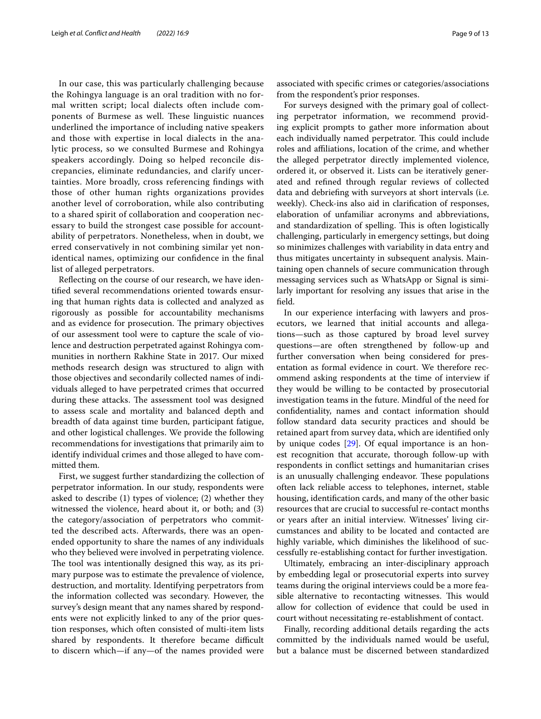In our case, this was particularly challenging because the Rohingya language is an oral tradition with no formal written script; local dialects often include components of Burmese as well. These linguistic nuances underlined the importance of including native speakers and those with expertise in local dialects in the analytic process, so we consulted Burmese and Rohingya speakers accordingly. Doing so helped reconcile discrepancies, eliminate redundancies, and clarify uncertainties. More broadly, cross referencing fndings with those of other human rights organizations provides another level of corroboration, while also contributing to a shared spirit of collaboration and cooperation necessary to build the strongest case possible for accountability of perpetrators. Nonetheless, when in doubt, we erred conservatively in not combining similar yet nonidentical names, optimizing our confdence in the fnal list of alleged perpetrators.

Refecting on the course of our research, we have identifed several recommendations oriented towards ensuring that human rights data is collected and analyzed as rigorously as possible for accountability mechanisms and as evidence for prosecution. The primary objectives of our assessment tool were to capture the scale of violence and destruction perpetrated against Rohingya communities in northern Rakhine State in 2017. Our mixed methods research design was structured to align with those objectives and secondarily collected names of individuals alleged to have perpetrated crimes that occurred during these attacks. The assessment tool was designed to assess scale and mortality and balanced depth and breadth of data against time burden, participant fatigue, and other logistical challenges. We provide the following recommendations for investigations that primarily aim to identify individual crimes and those alleged to have committed them.

First, we suggest further standardizing the collection of perpetrator information. In our study, respondents were asked to describe (1) types of violence; (2) whether they witnessed the violence, heard about it, or both; and (3) the category/association of perpetrators who committed the described acts. Afterwards, there was an openended opportunity to share the names of any individuals who they believed were involved in perpetrating violence. The tool was intentionally designed this way, as its primary purpose was to estimate the prevalence of violence, destruction, and mortality. Identifying perpetrators from the information collected was secondary. However, the survey's design meant that any names shared by respondents were not explicitly linked to any of the prior question responses, which often consisted of multi-item lists shared by respondents. It therefore became difficult to discern which—if any—of the names provided were associated with specifc crimes or categories/associations from the respondent's prior responses.

For surveys designed with the primary goal of collecting perpetrator information, we recommend providing explicit prompts to gather more information about each individually named perpetrator. This could include roles and afliations, location of the crime, and whether the alleged perpetrator directly implemented violence, ordered it, or observed it. Lists can be iteratively generated and refned through regular reviews of collected data and debriefng with surveyors at short intervals (i.e. weekly). Check-ins also aid in clarifcation of responses, elaboration of unfamiliar acronyms and abbreviations, and standardization of spelling. This is often logistically challenging, particularly in emergency settings, but doing so minimizes challenges with variability in data entry and thus mitigates uncertainty in subsequent analysis. Maintaining open channels of secure communication through messaging services such as WhatsApp or Signal is similarly important for resolving any issues that arise in the feld.

In our experience interfacing with lawyers and prosecutors, we learned that initial accounts and allegations—such as those captured by broad level survey questions—are often strengthened by follow-up and further conversation when being considered for presentation as formal evidence in court. We therefore recommend asking respondents at the time of interview if they would be willing to be contacted by prosecutorial investigation teams in the future. Mindful of the need for confdentiality, names and contact information should follow standard data security practices and should be retained apart from survey data, which are identifed only by unique codes [[29\]](#page-12-3). Of equal importance is an honest recognition that accurate, thorough follow-up with respondents in confict settings and humanitarian crises is an unusually challenging endeavor. These populations often lack reliable access to telephones, internet, stable housing, identifcation cards, and many of the other basic resources that are crucial to successful re-contact months or years after an initial interview. Witnesses' living circumstances and ability to be located and contacted are highly variable, which diminishes the likelihood of successfully re-establishing contact for further investigation.

Ultimately, embracing an inter-disciplinary approach by embedding legal or prosecutorial experts into survey teams during the original interviews could be a more feasible alternative to recontacting witnesses. This would allow for collection of evidence that could be used in court without necessitating re-establishment of contact.

Finally, recording additional details regarding the acts committed by the individuals named would be useful, but a balance must be discerned between standardized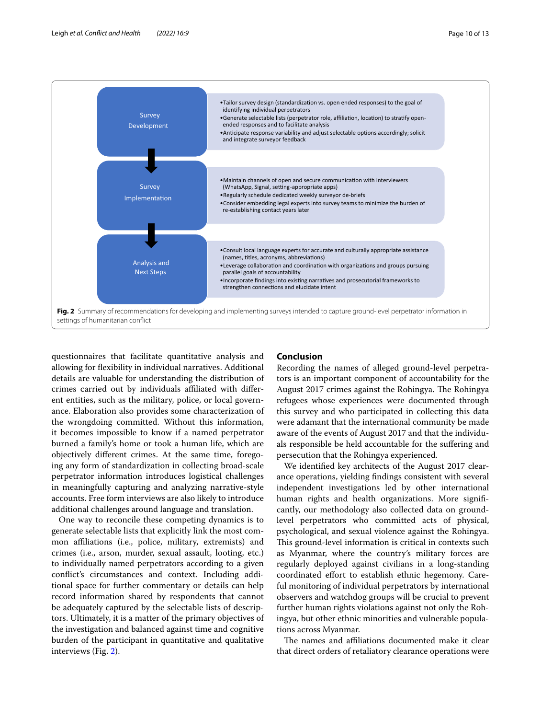

<span id="page-9-0"></span>questionnaires that facilitate quantitative analysis and allowing for fexibility in individual narratives. Additional details are valuable for understanding the distribution of crimes carried out by individuals afliated with diferent entities, such as the military, police, or local governance. Elaboration also provides some characterization of the wrongdoing committed. Without this information, it becomes impossible to know if a named perpetrator burned a family's home or took a human life, which are objectively diferent crimes. At the same time, foregoing any form of standardization in collecting broad-scale perpetrator information introduces logistical challenges in meaningfully capturing and analyzing narrative-style accounts. Free form interviews are also likely to introduce additional challenges around language and translation.

One way to reconcile these competing dynamics is to generate selectable lists that explicitly link the most common afliations (i.e., police, military, extremists) and crimes (i.e., arson, murder, sexual assault, looting, etc.) to individually named perpetrators according to a given confict's circumstances and context. Including additional space for further commentary or details can help record information shared by respondents that cannot be adequately captured by the selectable lists of descriptors. Ultimately, it is a matter of the primary objectives of the investigation and balanced against time and cognitive burden of the participant in quantitative and qualitative interviews (Fig. [2\)](#page-9-0).

## **Conclusion**

Recording the names of alleged ground-level perpetrators is an important component of accountability for the August 2017 crimes against the Rohingya. The Rohingya refugees whose experiences were documented through this survey and who participated in collecting this data were adamant that the international community be made aware of the events of August 2017 and that the individuals responsible be held accountable for the sufering and persecution that the Rohingya experienced.

We identifed key architects of the August 2017 clearance operations, yielding fndings consistent with several independent investigations led by other international human rights and health organizations. More signifcantly, our methodology also collected data on groundlevel perpetrators who committed acts of physical, psychological, and sexual violence against the Rohingya. This ground-level information is critical in contexts such as Myanmar, where the country's military forces are regularly deployed against civilians in a long-standing coordinated efort to establish ethnic hegemony. Careful monitoring of individual perpetrators by international observers and watchdog groups will be crucial to prevent further human rights violations against not only the Rohingya, but other ethnic minorities and vulnerable populations across Myanmar.

The names and affiliations documented make it clear that direct orders of retaliatory clearance operations were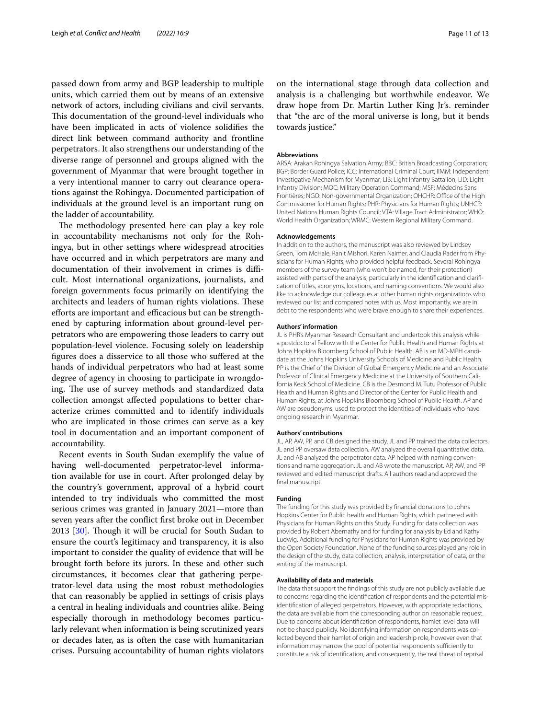passed down from army and BGP leadership to multiple units, which carried them out by means of an extensive network of actors, including civilians and civil servants. This documentation of the ground-level individuals who have been implicated in acts of violence solidifes the direct link between command authority and frontline perpetrators. It also strengthens our understanding of the diverse range of personnel and groups aligned with the government of Myanmar that were brought together in a very intentional manner to carry out clearance operations against the Rohingya. Documented participation of individuals at the ground level is an important rung on the ladder of accountability.

The methodology presented here can play a key role in accountability mechanisms not only for the Rohingya, but in other settings where widespread atrocities have occurred and in which perpetrators are many and documentation of their involvement in crimes is difficult. Most international organizations, journalists, and foreign governments focus primarily on identifying the architects and leaders of human rights violations. These efforts are important and efficacious but can be strengthened by capturing information about ground-level perpetrators who are empowering those leaders to carry out population-level violence. Focusing solely on leadership fgures does a disservice to all those who sufered at the hands of individual perpetrators who had at least some degree of agency in choosing to participate in wrongdoing. The use of survey methods and standardized data collection amongst afected populations to better characterize crimes committed and to identify individuals who are implicated in those crimes can serve as a key tool in documentation and an important component of accountability.

Recent events in South Sudan exemplify the value of having well-documented perpetrator-level information available for use in court. After prolonged delay by the country's government, approval of a hybrid court intended to try individuals who committed the most serious crimes was granted in January 2021—more than seven years after the confict frst broke out in December 2013  $[30]$  $[30]$ . Though it will be crucial for South Sudan to ensure the court's legitimacy and transparency, it is also important to consider the quality of evidence that will be brought forth before its jurors. In these and other such circumstances, it becomes clear that gathering perpetrator-level data using the most robust methodologies that can reasonably be applied in settings of crisis plays a central in healing individuals and countries alike. Being especially thorough in methodology becomes particularly relevant when information is being scrutinized years or decades later, as is often the case with humanitarian crises. Pursuing accountability of human rights violators

on the international stage through data collection and analysis is a challenging but worthwhile endeavor. We draw hope from Dr. Martin Luther King Jr's. reminder that "the arc of the moral universe is long, but it bends towards justice."

#### **Abbreviations**

ARSA: Arakan Rohingya Salvation Army; BBC: British Broadcasting Corporation; BGP: Border Guard Police; ICC: International Criminal Court; IIMM: Independent Investigative Mechanism for Myanmar; LIB: Light Infantry Battalion; LID: Light Infantry Division; MOC: Military Operation Command; MSF: Médecins Sans Frontières; NGO: Non-governmental Organization; OHCHR: Office of the High Commissioner for Human Rights; PHR: Physicians for Human Rights; UNHCR: United Nations Human Rights Council; VTA: Village Tract Administrator; WHO: World Health Organization; WRMC: Western Regional Military Command.

#### **Acknowledgements**

In addition to the authors, the manuscript was also reviewed by Lindsey Green, Tom McHale, Ranit Mishori, Karen Naimer, and Claudia Rader from Physicians for Human Rights, who provided helpful feedback. Several Rohingya members of the survey team (who won't be named, for their protection) assisted with parts of the analysis, particularly in the identifcation and clarifcation of titles, acronyms, locations, and naming conventions. We would also like to acknowledge our colleagues at other human rights organizations who reviewed our list and compared notes with us. Most importantly, we are in debt to the respondents who were brave enough to share their experiences.

#### **Authors' information**

JL is PHR's Myanmar Research Consultant and undertook this analysis while a postdoctoral Fellow with the Center for Public Health and Human Rights at Johns Hopkins Bloomberg School of Public Health. AB is an MD-MPH candidate at the Johns Hopkins University Schools of Medicine and Public Health. PP is the Chief of the Division of Global Emergency Medicine and an Associate Professor of Clinical Emergency Medicine at the University of Southern California Keck School of Medicine. CB is the Desmond M. Tutu Professor of Public Health and Human Rights and Director of the Center for Public Health and Human Rights, at Johns Hopkins Bloomberg School of Public Health. AP and AW are pseudonyms, used to protect the identities of individuals who have ongoing research in Myanmar.

#### **Authors' contributions**

JL, AP, AW, PP, and CB designed the study. JL and PP trained the data collectors. JL and PP oversaw data collection. AW analyzed the overall quantitative data. JL and AB analyzed the perpetrator data. AP helped with naming conventions and name aggregation. JL and AB wrote the manuscript. AP, AW, and PP reviewed and edited manuscript drafts. All authors read and approved the final manuscript.

#### **Funding**

The funding for this study was provided by fnancial donations to Johns Hopkins Center for Public health and Human Rights, which partnered with Physicians for Human Rights on this Study. Funding for data collection was provided by Robert Abernathy and for funding for analysis by Ed and Kathy Ludwig. Additional funding for Physicians for Human Rights was provided by the Open Society Foundation. None of the funding sources played any role in the design of the study, data collection, analysis, interpretation of data, or the writing of the manuscript.

#### **Availability of data and materials**

The data that support the fndings of this study are not publicly available due to concerns regarding the identifcation of respondents and the potential misidentifcation of alleged perpetrators. However, with appropriate redactions, the data are available from the corresponding author on reasonable request. Due to concerns about identifcation of respondents, hamlet level data will not be shared publicly. No identifying information on respondents was collected beyond their hamlet of origin and leadership role, however even that information may narrow the pool of potential respondents sufficiently to constitute a risk of identifcation, and consequently, the real threat of reprisal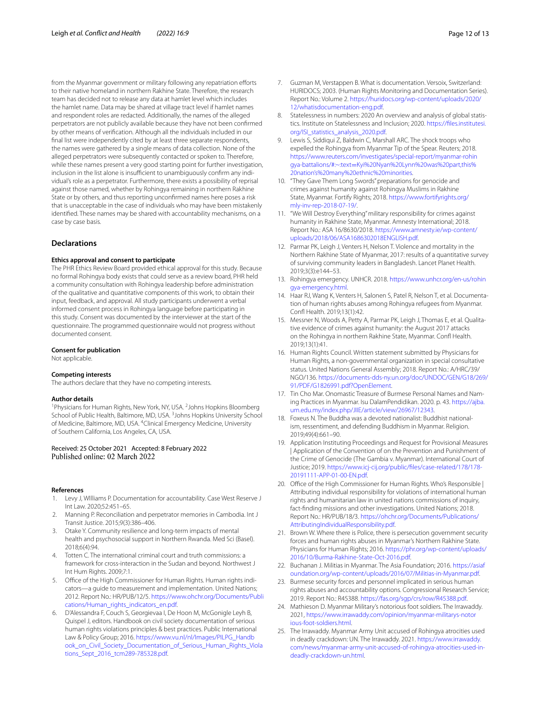from the Myanmar government or military following any repatriation efforts to their native homeland in northern Rakhine State. Therefore, the research team has decided not to release any data at hamlet level which includes the hamlet name. Data may be shared at village tract level if hamlet names and respondent roles are redacted. Additionally, the names of the alleged perpetrators are not publicly available because they have not been confrmed by other means of verifcation. Although all the individuals included in our fnal list were independently cited by at least three separate respondents, the names were gathered by a single means of data collection. None of the alleged perpetrators were subsequently contacted or spoken to. Therefore, while these names present a very good starting point for further investigation, inclusion in the list alone is insufficient to unambiguously confirm any individual's role as a perpetrator. Furthermore, there exists a possibility of reprisal against those named, whether by Rohingya remaining in northern Rakhine State or by others, and thus reporting unconfrmed names here poses a risk that is unacceptable in the case of individuals who may have been mistakenly identifed. These names may be shared with accountability mechanisms, on a case by case basis.

#### **Declarations**

#### **Ethics approval and consent to participate**

The PHR Ethics Review Board provided ethical approval for this study. Because no formal Rohingya body exists that could serve as a review board, PHR held a community consultation with Rohingya leadership before administration of the qualitative and quantitative components of this work, to obtain their input, feedback, and approval. All study participants underwent a verbal informed consent process in Rohingya language before participating in this study. Consent was documented by the interviewer at the start of the questionnaire. The programmed questionnaire would not progress without documented consent.

#### **Consent for publication**

Not applicable.

#### **Competing interests**

The authors declare that they have no competing interests.

#### **Author details**

<sup>1</sup> Physicians for Human Rights, New York, NY, USA.<sup>2</sup> Johns Hopkins Bloomberg School of Public Health, Baltimore, MD, USA.<sup>3</sup> Johns Hopkins University School of Medicine, Baltimore, MD, USA. <sup>4</sup>Clinical Emergency Medicine, University of Southern California, Los Angeles, CA, USA.

# Received: 25 October 2021 Accepted: 8 February 2022

#### **References**

- <span id="page-11-0"></span>1. Levy J, WIlliams P. Documentation for accountability. Case West Reserve J Int Law. 2020;52:451–65.
- <span id="page-11-1"></span>2. Manning P. Reconciliation and perpetrator memories in Cambodia. Int J Transit Justice. 2015;9(3):386–406.
- <span id="page-11-2"></span>3. Otake Y. Community resilience and long-term impacts of mental health and psychosocial support in Northern Rwanda. Med Sci (Basel). 2018;6(4):94.
- <span id="page-11-3"></span>4. Totten C. The international criminal court and truth commissions: a framework for cross-interaction in the Sudan and beyond. Northwest J Int Hum Rights. 2009;7:1.
- <span id="page-11-4"></span>5. Office of the High Commissioner for Human Rights. Human rights indicators—a guide to measurement and implementation. United Nations; 2012. Report No.: HR/PUB/12/5. [https://www.ohchr.org/Documents/Publi](https://www.ohchr.org/Documents/Publications/Human_rights_indicators_en.pdf) [cations/Human\\_rights\\_indicators\\_en.pdf.](https://www.ohchr.org/Documents/Publications/Human_rights_indicators_en.pdf)
- <span id="page-11-5"></span>6. D'Alessandra F, Couch S, Georgievaa I, De Hoon M, McGonigle Leyh B, Quispel J, editors. Handbook on civil society documentation of serious human rights violations principles & best practices. Public International Law & Policy Group; 2016. [https://www.vu.nl/nl/Images/PILPG\\_Handb](https://www.vu.nl/nl/Images/PILPG_Handbook_on_Civil_Society_Documentation_of_Serious_Human_Rights_Violations_Sept_2016_tcm289-785328.pdf) [ook\\_on\\_Civil\\_Society\\_Documentation\\_of\\_Serious\\_Human\\_Rights\\_Viola](https://www.vu.nl/nl/Images/PILPG_Handbook_on_Civil_Society_Documentation_of_Serious_Human_Rights_Violations_Sept_2016_tcm289-785328.pdf) [tions\\_Sept\\_2016\\_tcm289-785328.pdf](https://www.vu.nl/nl/Images/PILPG_Handbook_on_Civil_Society_Documentation_of_Serious_Human_Rights_Violations_Sept_2016_tcm289-785328.pdf).
- <span id="page-11-6"></span>7. Guzman M, Verstappen B. What is documentation. Versoix, Switzerland: HURIDOCS; 2003. (Human Rights Monitoring and Documentation Series). Report No.: Volume 2. [https://huridocs.org/wp-content/uploads/2020/](https://huridocs.org/wp-content/uploads/2020/12/whatisdocumentation-eng.pdf) [12/whatisdocumentation-eng.pdf](https://huridocs.org/wp-content/uploads/2020/12/whatisdocumentation-eng.pdf).
- <span id="page-11-7"></span>8. Statelessness in numbers: 2020 An overview and analysis of global statistics. Institute on Statelessness and Inclusion; 2020. [https://fles.institutesi.](https://files.institutesi.org/ISI_statistics_analysis_2020.pdf) [org/ISI\\_statistics\\_analysis\\_2020.pdf](https://files.institutesi.org/ISI_statistics_analysis_2020.pdf).
- <span id="page-11-8"></span>9. Lewis S, Siddiqui Z, Baldwin C, Marshall ARC. The shock troops who expelled the Rohingya from Myanmar Tip of the Spear. Reuters; 2018. [https://www.reuters.com/investigates/special-report/myanmar-rohin](https://www.reuters.com/investigates/special-report/myanmar-rohingya-battalions/#:~:text=Kyi%20Nyan%20Lynn%20was%20part,this%20nation’s%20many%20ethnic%20minorities) gya-battalions/#:~:text=[Kyi%20Nyan%20Lynn%20was%20part,this%](https://www.reuters.com/investigates/special-report/myanmar-rohingya-battalions/#:~:text=Kyi%20Nyan%20Lynn%20was%20part,this%20nation’s%20many%20ethnic%20minorities) [20nation's%20many%20ethnic%20minorities.](https://www.reuters.com/investigates/special-report/myanmar-rohingya-battalions/#:~:text=Kyi%20Nyan%20Lynn%20was%20part,this%20nation’s%20many%20ethnic%20minorities)
- <span id="page-11-23"></span>10. "They Gave Them Long Swords" preparations for genocide and crimes against humanity against Rohingya Muslims in Rakhine State, Myanmar. Fortify Rights; 2018. [https://www.fortifyrights.org/](https://www.fortifyrights.org/mly-inv-rep-2018-07-19/) [mly-inv-rep-2018-07-19/.](https://www.fortifyrights.org/mly-inv-rep-2018-07-19/)
- <span id="page-11-9"></span>11. "We Will Destroy Everything" military responsibility for crimes against humanity in Rakhine State, Myanmar. Amnesty International; 2018. Report No.: ASA 16/8630/2018. [https://www.amnesty.ie/wp-content/](https://www.amnesty.ie/wp-content/uploads/2018/06/ASA1686302018ENGLISH.pdf) [uploads/2018/06/ASA1686302018ENGLISH.pdf.](https://www.amnesty.ie/wp-content/uploads/2018/06/ASA1686302018ENGLISH.pdf)
- <span id="page-11-10"></span>12. Parmar PK, Leigh J, Venters H, Nelson T. Violence and mortality in the Northern Rakhine State of Myanmar, 2017: results of a quantitative survey of surviving community leaders in Bangladesh. Lancet Planet Health. 2019;3(3):e144–53.
- <span id="page-11-11"></span>13. Rohingya emergency. UNHCR. 2018. [https://www.unhcr.org/en-us/rohin](https://www.unhcr.org/en-us/rohingya-emergency.html) [gya-emergency.html](https://www.unhcr.org/en-us/rohingya-emergency.html).
- <span id="page-11-12"></span>14. Haar RJ, Wang K, Venters H, Salonen S, Patel R, Nelson T, et al. Documentation of human rights abuses among Rohingya refugees from Myanmar. Conf Health. 2019;13(1):42.
- <span id="page-11-13"></span>15. Messner N, Woods A, Petty A, Parmar PK, Leigh J, Thomas E, et al. Qualitative evidence of crimes against humanity: the August 2017 attacks on the Rohingya in northern Rakhine State, Myanmar. Conf Health. 2019;13(1):41.
- <span id="page-11-14"></span>16. Human Rights Council. Written statement submitted by Physicians for Human Rights, a non-governmental organization in special consultative status. United Nations General Assembly; 2018. Report No.: A/HRC/39/ NGO/136. [https://documents-dds-ny.un.org/doc/UNDOC/GEN/G18/269/](https://documents-dds-ny.un.org/doc/UNDOC/GEN/G18/269/91/PDF/G1826991.pdf?OpenElement) [91/PDF/G1826991.pdf?OpenElement.](https://documents-dds-ny.un.org/doc/UNDOC/GEN/G18/269/91/PDF/G1826991.pdf?OpenElement)
- <span id="page-11-15"></span>17. Tin Cho Mar. Onomastic Treasure of Burmese Personal Names and Naming Practices in Myanmar. Isu DalamPendidikan. 2020. p. 43. [https://ajba.](https://ajba.um.edu.my/index.php/JIIE/article/view/26967/12343) [um.edu.my/index.php/JIIE/article/view/26967/12343.](https://ajba.um.edu.my/index.php/JIIE/article/view/26967/12343)
- <span id="page-11-16"></span>18. Foxeus N. The Buddha was a devoted nationalist: Buddhist nationalism, ressentiment, and defending Buddhism in Myanmar. Religion. 2019;49(4):661–90.
- <span id="page-11-17"></span>19. Application Instituting Proceedings and Request for Provisional Measures | Application of the Convention of on the Prevention and Punishment of the Crime of Genocide (The Gambia v. Myanmar). International Court of Justice; 2019. [https://www.icj-cij.org/public/fles/case-related/178/178-](https://www.icj-cij.org/public/files/case-related/178/178-20191111-APP-01-00-EN.pdf) [20191111-APP-01-00-EN.pdf.](https://www.icj-cij.org/public/files/case-related/178/178-20191111-APP-01-00-EN.pdf)
- <span id="page-11-18"></span>20. Office of the High Commissioner for Human Rights. Who's Responsible | Attributing individual responsibility for violations of international human rights and humanitarian law in united nations commissions of inquiry, fact-fnding missions and other investigations. United Nations; 2018. Report No.: HR/PUB/18/3. [https://ohchr.org/Documents/Publications/](https://ohchr.org/Documents/Publications/AttributingIndividualResponsibility.pdf) [AttributingIndividualResponsibility.pdf](https://ohchr.org/Documents/Publications/AttributingIndividualResponsibility.pdf).
- <span id="page-11-19"></span>21. Brown W. Where there is Police, there is persecution government security forces and human rights abuses in Myanmar's Northern Rakhine State. Physicians for Human Rights; 2016. [https://phr.org/wp-content/uploads/](https://phr.org/wp-content/uploads/2016/10/Burma-Rakhine-State-Oct-2016.pdf) [2016/10/Burma-Rakhine-State-Oct-2016.pdf.](https://phr.org/wp-content/uploads/2016/10/Burma-Rakhine-State-Oct-2016.pdf)
- 22. Buchanan J. Militias in Myanmar. The Asia Foundation; 2016. [https://asiaf](https://asiafoundation.org/wp-content/uploads/2016/07/Militias-in-Myanmar.pdf) [oundation.org/wp-content/uploads/2016/07/Militias-in-Myanmar.pdf.](https://asiafoundation.org/wp-content/uploads/2016/07/Militias-in-Myanmar.pdf)
- <span id="page-11-20"></span>23. Burmese security forces and personnel implicated in serious human rights abuses and accountability options. Congressional Research Service; 2019. Report No.: R45388. [https://fas.org/sgp/crs/row/R45388.pdf.](https://fas.org/sgp/crs/row/R45388.pdf)
- <span id="page-11-21"></span>24. Mathieson D. Myanmar Military's notorious foot soldiers. The Irrawaddy. 2021, [https://www.irrawaddy.com/opinion/myanmar-militarys-notor](https://www.irrawaddy.com/opinion/myanmar-militarys-notorious-foot-soldiers.html) [ious-foot-soldiers.html.](https://www.irrawaddy.com/opinion/myanmar-militarys-notorious-foot-soldiers.html)
- <span id="page-11-22"></span>25. The Irrawaddy. Myanmar Army Unit accused of Rohingya atrocities used in deadly crackdown: UN. The Irrawaddy. 2021. [https://www.irrawaddy.](https://www.irrawaddy.com/news/myanmar-army-unit-accused-of-rohingya-atrocities-used-in-deadly-crackdown-un.html) [com/news/myanmar-army-unit-accused-of-rohingya-atrocities-used-in](https://www.irrawaddy.com/news/myanmar-army-unit-accused-of-rohingya-atrocities-used-in-deadly-crackdown-un.html)[deadly-crackdown-un.html.](https://www.irrawaddy.com/news/myanmar-army-unit-accused-of-rohingya-atrocities-used-in-deadly-crackdown-un.html)